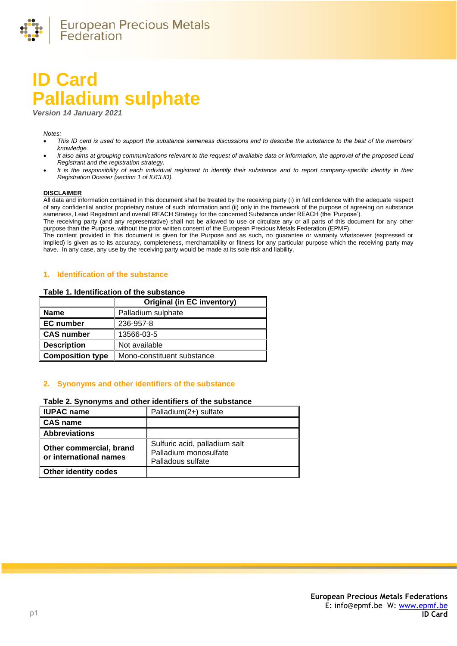

# **ID Card Palladium sulphate**

*Version 14 January 2021*

*Notes:* 

- *This ID card is used to support the substance sameness discussions and to describe the substance to the best of the members' knowledge.*
- *It also aims at grouping communications relevant to the request of available data or information, the approval of the proposed Lead Registrant and the registration strategy.*
- *It is the responsibility of each individual registrant to identify their substance and to report company-specific identity in their Registration Dossier (section 1 of IUCLID).*

#### **DISCLAIMER**

All data and information contained in this document shall be treated by the receiving party (i) in full confidence with the adequate respect of any confidential and/or proprietary nature of such information and (ii) only in the framework of the purpose of agreeing on substance sameness, Lead Registrant and overall REACH Strategy for the concerned Substance under REACH (the 'Purpose').

The receiving party (and any representative) shall not be allowed to use or circulate any or all parts of this document for any other purpose than the Purpose, without the prior written consent of the European Precious Metals Federation (EPMF).

The content provided in this document is given for the Purpose and as such, no guarantee or warranty whatsoever (expressed or implied) is given as to its accuracy, completeness, merchantability or fitness for any particular purpose which the receiving party may have. In any case, any use by the receiving party would be made at its sole risk and liability.

#### **1. Identification of the substance**

#### **Table 1. Identification of the substance**

|                         | <b>Original (in EC inventory)</b> |
|-------------------------|-----------------------------------|
| <b>Name</b>             | Palladium sulphate                |
| <b>EC</b> number        | 236-957-8                         |
| <b>CAS number</b>       | 13566-03-5                        |
| <b>Description</b>      | Not available                     |
| <b>Composition type</b> | Mono-constituent substance        |

#### **2. Synonyms and other identifiers of the substance**

#### **Table 2. Synonyms and other identifiers of the substance**

| <b>IUPAC name</b>                                 | Palladium(2+) sulfate                                                       |
|---------------------------------------------------|-----------------------------------------------------------------------------|
| <b>CAS name</b>                                   |                                                                             |
| <b>Abbreviations</b>                              |                                                                             |
| Other commercial, brand<br>or international names | Sulfuric acid, palladium salt<br>Palladium monosulfate<br>Palladous sulfate |
| Other identity codes                              |                                                                             |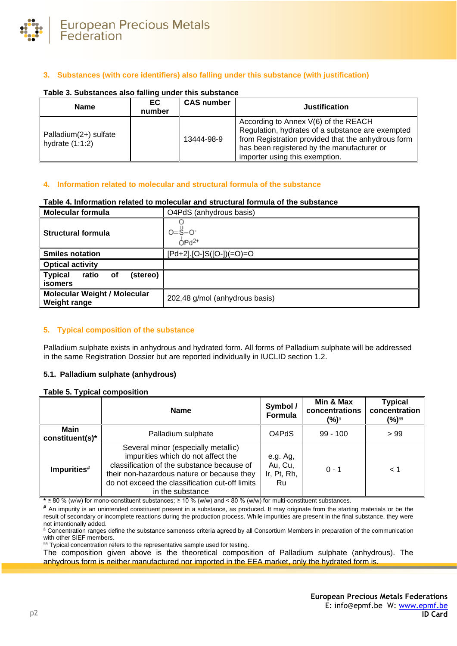

# **3. Substances (with core identifiers) also falling under this substance (with justification)**

| <b>Name</b>                                | EC.<br>number | <b>CAS number</b> | <b>Justification</b>                                                                                                                                                                                                           |
|--------------------------------------------|---------------|-------------------|--------------------------------------------------------------------------------------------------------------------------------------------------------------------------------------------------------------------------------|
| Palladium(2+) sulfate<br>hydrate $(1:1:2)$ |               | 13444-98-9        | According to Annex V(6) of the REACH<br>Regulation, hydrates of a substance are exempted<br>from Registration provided that the anhydrous form<br>has been registered by the manufacturer or<br>importer using this exemption. |

#### **Table 3. Substances also falling under this substance**

# **4. Information related to molecular and structural formula of the substance**

#### **Table 4. Information related to molecular and structural formula of the substance**

| <b>Molecular formula</b>                                   | O4PdS (anhydrous basis)             |
|------------------------------------------------------------|-------------------------------------|
| Structural formula                                         | $0 = \frac{1}{5} - 0$<br>$OPd^{2+}$ |
| <b>Smiles notation</b>                                     | [Pd+2].[O-]S([O-])(=O)=O            |
| <b>Optical activity</b>                                    |                                     |
| <b>Typical</b><br>ratio of<br>(stereo)                     |                                     |
| <b>isomers</b>                                             |                                     |
| <b>Molecular Weight / Molecular</b><br><b>Weight range</b> | 202,48 g/mol (anhydrous basis)      |

# **5. Typical composition of the substance**

Palladium sulphate exists in anhydrous and hydrated form. All forms of Palladium sulphate will be addressed in the same Registration Dossier but are reported individually in IUCLID section 1.2.

#### **5.1. Palladium sulphate (anhydrous)**

#### **Table 5. Typical composition**

|                         | <b>Name</b>                                                                                                                                                                                                                                  | Symbol /<br>Formula                      | Min & Max<br>concentrations<br>(%)§ | <b>Typical</b><br>concentration<br>(%)§§ |
|-------------------------|----------------------------------------------------------------------------------------------------------------------------------------------------------------------------------------------------------------------------------------------|------------------------------------------|-------------------------------------|------------------------------------------|
| Main<br>constituent(s)* | Palladium sulphate                                                                                                                                                                                                                           | O <sub>4</sub> P <sub>d</sub> S          | $99 - 100$                          | >99                                      |
| Impurities#             | Several minor (especially metallic)<br>impurities which do not affect the<br>classification of the substance because of<br>their non-hazardous nature or because they<br>do not exceed the classification cut-off limits<br>in the substance | e.g. Ag,<br>Au, Cu,<br>Ir, Pt, Rh,<br>Ru | $0 - 1$                             | 1 >                                      |

**\*** ≥ 80 % (w/w) for mono-constituent substances; ≥ 10 % (w/w) and < 80 % (w/w) for multi-constituent substances.

**#** An impurity is an unintended constituent present in a substance, as produced. It may originate from the starting materials or be the result of secondary or incomplete reactions during the production process. While impurities are present in the final substance, they were not intentionally added.

§ Concentration ranges define the substance sameness criteria agreed by all Consortium Members in preparation of the communication with other SIEF members.

§§ Typical concentration refers to the representative sample used for testing.

The composition given above is the theoretical composition of Palladium sulphate (anhydrous). The anhydrous form is neither manufactured nor imported in the EEA market, only the hydrated form is.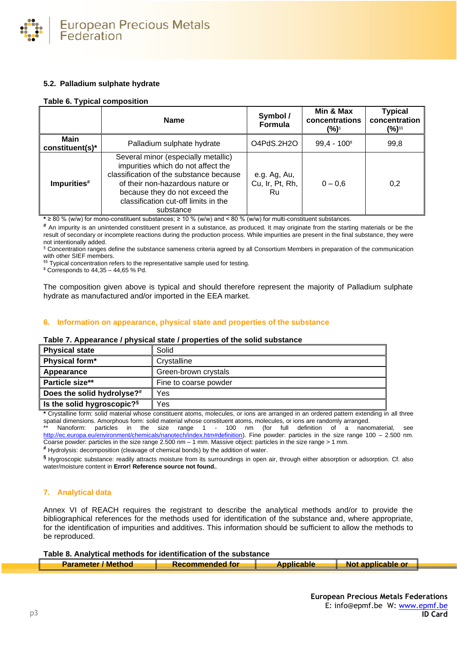

# **5.2. Palladium sulphate hydrate**

### **Table 6. Typical composition**

|                                | <b>Name</b>                                                                                                                                                                                                                                     | Symbol /<br><b>Formula</b>            | Min & Max<br>concentrations<br>(%)§ | <b>Typical</b><br>concentration<br>(%)§§ |
|--------------------------------|-------------------------------------------------------------------------------------------------------------------------------------------------------------------------------------------------------------------------------------------------|---------------------------------------|-------------------------------------|------------------------------------------|
| <b>Main</b><br>constituent(s)* | Palladium sulphate hydrate                                                                                                                                                                                                                      | O4PdS.2H2O                            | $99,4 - 100$ <sup>\$</sup>          | 99,8                                     |
| Impurities#                    | Several minor (especially metallic)<br>impurities which do not affect the<br>classification of the substance because<br>of their non-hazardous nature or<br>because they do not exceed the<br>classification cut-off limits in the<br>substance | e.g. Ag, Au,<br>Cu, Ir, Pt, Rh,<br>Ru | $0 - 0.6$                           | 0,2                                      |

**\*** ≥ 80 % (w/w) for mono-constituent substances; ≥ 10 % (w/w) and < 80 % (w/w) for multi-constituent substances.

**#** An impurity is an unintended constituent present in a substance, as produced. It may originate from the starting materials or be the result of secondary or incomplete reactions during the production process. While impurities are present in the final substance, they were not intentionally added.

§ Concentration ranges define the substance sameness criteria agreed by all Consortium Members in preparation of the communication with other SIEF members.

§§ Typical concentration refers to the representative sample used for testing.

 $$$  Corresponds to 44,35 – 44,65 % Pd.

The composition given above is typical and should therefore represent the majority of Palladium sulphate hydrate as manufactured and/or imported in the EEA market.

### **6. Information on appearance, physical state and properties of the substance**

# **Table 7. Appearance / physical state / properties of the solid substance Physical state** Solid **Physical form\*** | Crystalline

| THY SIGHT SLALG                        | oviiu                 |
|----------------------------------------|-----------------------|
| Physical form*                         | Crystalline           |
| Appearance                             | Green-brown crystals  |
| Particle size**                        | Fine to coarse powder |
| Does the solid hydrolyse?#             | Yes                   |
| Is the solid hygroscopic? <sup>§</sup> | Yes                   |

**\*** Crystalline form: solid material whose constituent atoms, molecules, or ions are arranged in an ordered pattern extending in all three spatial dimensions. Amorphous form: solid material whose constituent atoms, molecules, or ions are randomly arranged.

Nanoform: particles in the size range 1 - 100 nm (for full definition of a nanomaterial, see [http://ec.europa.eu/environment/chemicals/nanotech/index.htm#definition\)](http://ec.europa.eu/environment/chemicals/nanotech/index.htm#definition). Fine powder: particles in the size range 100 – 2.500 nm. Coarse powder: particles in the size range 2.500 nm – 1 mm. Massive object: particles in the size range > 1 mm.

**#** Hydrolysis: decomposition (cleavage of chemical bonds) by the addition of water.

**§** Hygroscopic substance: readily attracts moisture from its surroundings in open air, through either absorption or adsorption. Cf. also water/moisture content in **Error! Reference source not found.**.

# **7. Analytical data**

Annex VI of REACH requires the registrant to describe the analytical methods and/or to provide the bibliographical references for the methods used for identification of the substance and, where appropriate, for the identification of impurities and additives. This information should be sufficient to allow the methods to be reproduced.

**Table 8. Analytical methods for identification of the substance Parameter / Method**  Recommended for **Applicable Recommended for Replicable Applicable** or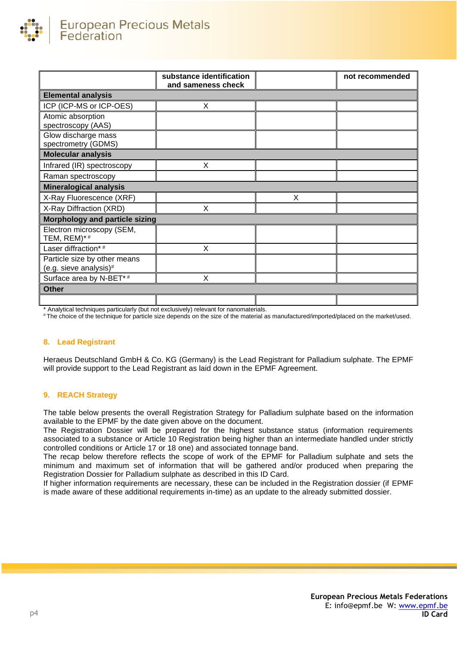

|                                                           | substance identification<br>and sameness check |   | not recommended |
|-----------------------------------------------------------|------------------------------------------------|---|-----------------|
| <b>Elemental analysis</b>                                 |                                                |   |                 |
| ICP (ICP-MS or ICP-OES)                                   | X                                              |   |                 |
| Atomic absorption<br>spectroscopy (AAS)                   |                                                |   |                 |
| Glow discharge mass<br>spectrometry (GDMS)                |                                                |   |                 |
| <b>Molecular analysis</b>                                 |                                                |   |                 |
| Infrared (IR) spectroscopy                                | X                                              |   |                 |
| Raman spectroscopy                                        |                                                |   |                 |
| <b>Mineralogical analysis</b>                             |                                                |   |                 |
| X-Ray Fluorescence (XRF)                                  |                                                | X |                 |
| X-Ray Diffraction (XRD)                                   | X                                              |   |                 |
| Morphology and particle sizing                            |                                                |   |                 |
| Electron microscopy (SEM,<br>TEM, REM)*#                  |                                                |   |                 |
| Laser diffraction*#                                       | X                                              |   |                 |
| Particle size by other means<br>(e.g. sieve analysis) $#$ |                                                |   |                 |
| Surface area by N-BET*#                                   | X                                              |   |                 |
| <b>Other</b>                                              |                                                |   |                 |
|                                                           |                                                |   |                 |

\* Analytical techniques particularly (but not exclusively) relevant for nanomaterials.

# The choice of the technique for particle size depends on the size of the material as manufactured/imported/placed on the market/used.

#### **8. Lead Registrant**

Heraeus Deutschland GmbH & Co. KG (Germany) is the Lead Registrant for Palladium sulphate. The EPMF will provide support to the Lead Registrant as laid down in the EPMF Agreement.

#### **9. REACH Strategy**

The table below presents the overall Registration Strategy for Palladium sulphate based on the information available to the EPMF by the date given above on the document.

The Registration Dossier will be prepared for the highest substance status (information requirements associated to a substance or Article 10 Registration being higher than an intermediate handled under strictly controlled conditions or Article 17 or 18 one) and associated tonnage band.

The recap below therefore reflects the scope of work of the EPMF for Palladium sulphate and sets the minimum and maximum set of information that will be gathered and/or produced when preparing the Registration Dossier for Palladium sulphate as described in this ID Card.

If higher information requirements are necessary, these can be included in the Registration dossier (if EPMF is made aware of these additional requirements in-time) as an update to the already submitted dossier.